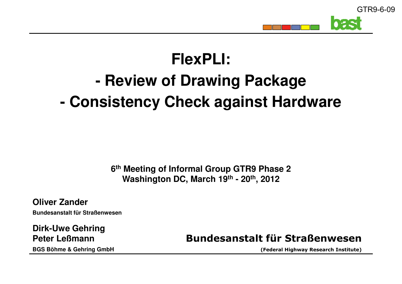

## **FlexPLI:- Review of Drawing Package- Consistency Check against Hardware**

**6th Meeting of Informal Group GTR9 Phase 2Washington DC, March 19th - 20th, 2012**

**Oliver ZanderBundesanstalt für Straßenwesen**

**Dirk-Uwe GehringPeter LeßmannBGS Böhme & Gehring GmbH**

**Bundesanstalt für Straßenwesen**

**(Federal Highway Research Institute)**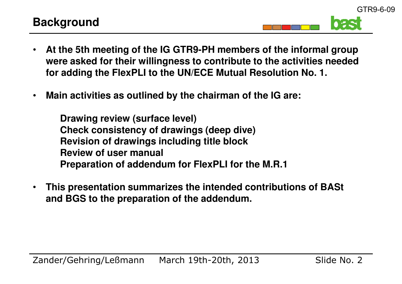

- • **At the 5th meeting of the IG GTR9-PH members of the informal group were asked for their willingness to contribute to the activities needed for adding the FlexPLI to the UN/ECE Mutual Resolution No. 1.**
- •**Main activities as outlined by the chairman of the IG are:**

**Drawing review (surface level) Check consistency of drawings (deep dive)Revision of drawings including title blockReview of user manualPreparation of addendum for FlexPLI for the M.R.1**

• **This presentation summarizes the intended contributions of BASt and BGS to the preparation of the addendum.**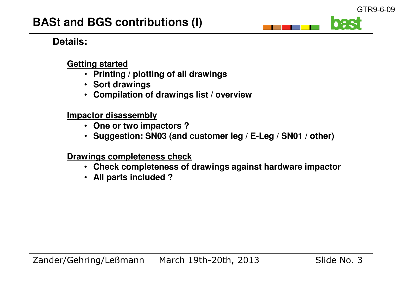## **Details:**

#### **Getting started**

- **Printing / plotting of all drawings**
- **Sort drawings**
- **Compilation of drawings list / overview**

#### **Impactor disassembly**

- **One or two impactors ?**
- **Suggestion: SN03 (and customer leg / E-Leg / SN01 / other)**

**Drawings completeness check**

- **Check completeness of drawings against hardware impactor**
- **All parts included ?**

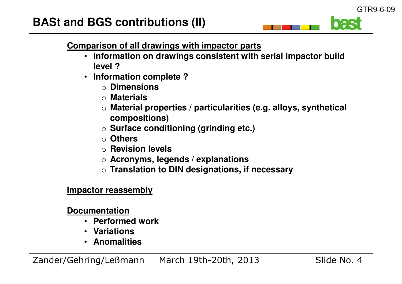GTR9-6-09

#### **Comparison of all drawings with impactor parts**

- **Information on drawings consistent with serial impactor build level ?**
- **Information complete ?** $\bullet$ 
	- o **Dimensions**
	- o **Materials**
	- o **Material properties / particularities (e.g. alloys, synthetical compositions)**
	- o **Surface conditioning (grinding etc.)**
	- o **Others**
	- o **Revision levels**
	- o **Acronyms, legends / explanations**
	- o **Translation to DIN designations, if necessary**

#### **Impactor reassembly**

#### **Documentation**

- **Performed work**
- **Variations**
- **Anomalities**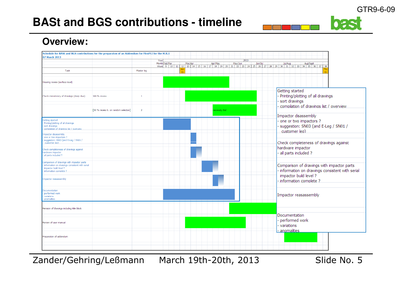# **BASt and BGS contributions - timeline**

# 035

## **Overview:**

| Schedule for BASt and BGS contributions for the preparaton of an Addendum for FlexPLI for the M.R.1 |                                      |                |                       |         |              |                 |         |                                                                                               |
|-----------------------------------------------------------------------------------------------------|--------------------------------------|----------------|-----------------------|---------|--------------|-----------------|---------|-----------------------------------------------------------------------------------------------|
| 07 March 2013                                                                                       |                                      |                |                       |         |              |                 |         |                                                                                               |
|                                                                                                     |                                      |                | Year<br>Month Feb/Mar | Mar/Apr | Apr/May      | 2013<br>May/Jun | Jun/Jul | Jul/Aug<br>Aug/Sept                                                                           |
|                                                                                                     |                                      |                |                       |         |              |                 |         | Week 9 10 11 12 13 14 15 16 17 18 19 20 21 22 23 24 25 26 27 28 29 30 31 32 33 34 35 36 37 38 |
| Task                                                                                                |                                      | Master leg     |                       |         |              |                 |         |                                                                                               |
|                                                                                                     |                                      |                |                       |         |              |                 |         |                                                                                               |
|                                                                                                     |                                      |                |                       |         |              |                 |         |                                                                                               |
| Drawing review (surface level)                                                                      |                                      |                |                       |         |              |                 |         |                                                                                               |
|                                                                                                     |                                      |                |                       |         |              |                 |         |                                                                                               |
|                                                                                                     |                                      |                |                       |         |              |                 |         | Getting started                                                                               |
|                                                                                                     |                                      |                |                       |         |              |                 |         |                                                                                               |
| Check consistency of drawings (deep dive)                                                           | 100 % review                         | $\mathbf{1}$   |                       |         |              |                 |         | - Printing/plotting of all drawings                                                           |
|                                                                                                     |                                      |                |                       |         |              |                 |         | - sort drawings                                                                               |
|                                                                                                     |                                      |                |                       |         |              |                 |         | - compilation of drawings list / overview                                                     |
|                                                                                                     | [30 % review b. on random selection] | $\overline{2}$ |                       |         | ecessity tbd |                 |         |                                                                                               |
|                                                                                                     |                                      |                |                       |         |              |                 |         |                                                                                               |
|                                                                                                     |                                      |                |                       |         |              |                 |         | Impactor disassembly                                                                          |
| Getting started                                                                                     |                                      |                |                       |         |              |                 |         | - one or two impactors ?                                                                      |
| Printing/plotting of all drawings<br>sort drawings                                                  |                                      |                |                       |         |              |                 |         | - suggestion: SN03 (and E-Leg / SN01 /                                                        |
| compilation of drawings list / overview                                                             |                                      |                |                       |         |              |                 |         |                                                                                               |
|                                                                                                     |                                      |                |                       |         |              |                 |         | customer lea)                                                                                 |
| Impactor disassembly<br>one or two impactors?                                                       |                                      |                |                       |         |              |                 |         |                                                                                               |
| suggestion: SN03 (and E-Leg / SN01 /                                                                |                                      |                |                       |         |              |                 |         |                                                                                               |
| customer lea)                                                                                       |                                      |                |                       |         |              |                 |         | Check completeness of drawings against                                                        |
| Check completeness of drawings against                                                              |                                      |                |                       |         |              |                 |         | hardware impactor                                                                             |
| hardware impactor                                                                                   |                                      |                |                       |         |              |                 |         | - all parts included?                                                                         |
| al parts included?                                                                                  |                                      |                |                       |         |              |                 |         |                                                                                               |
|                                                                                                     |                                      |                |                       |         |              |                 |         |                                                                                               |
| Comparison of drawings with impactor parts<br>information on drawings consistent with serial        |                                      |                |                       |         |              |                 |         | Comparison of drawings with impactor parts                                                    |
| impactor build level?                                                                               |                                      |                |                       |         |              |                 |         |                                                                                               |
| information complete?<br>Impactor reasassembly                                                      |                                      |                |                       |         |              |                 |         | - information on drawings consistent with serial                                              |
|                                                                                                     |                                      |                |                       |         |              |                 |         | impactor build level?                                                                         |
|                                                                                                     |                                      |                |                       |         |              |                 |         | - information complete?                                                                       |
|                                                                                                     |                                      |                |                       |         |              |                 |         |                                                                                               |
|                                                                                                     |                                      |                |                       |         |              |                 |         |                                                                                               |
| Documentation                                                                                       |                                      |                |                       |         |              |                 |         |                                                                                               |
| performed work<br>variations                                                                        |                                      |                |                       |         |              |                 |         | Impactor reasassembly                                                                         |
| anomalities                                                                                         |                                      |                |                       |         |              |                 |         |                                                                                               |
|                                                                                                     |                                      |                |                       |         |              |                 |         |                                                                                               |
| Revision of drawings including title block                                                          |                                      |                |                       |         |              |                 |         |                                                                                               |
|                                                                                                     |                                      |                |                       |         |              |                 |         |                                                                                               |
|                                                                                                     |                                      |                |                       |         |              |                 |         | Documentation                                                                                 |
| Review of user manual                                                                               |                                      |                |                       |         |              |                 |         | - performed work                                                                              |
|                                                                                                     |                                      |                |                       |         |              |                 |         |                                                                                               |
|                                                                                                     |                                      |                |                       |         |              |                 |         | - variations                                                                                  |
|                                                                                                     |                                      |                |                       |         |              |                 |         | - anomalities                                                                                 |
| Preparation of addendum                                                                             |                                      |                |                       |         |              |                 |         |                                                                                               |
|                                                                                                     |                                      |                |                       |         |              |                 |         |                                                                                               |
|                                                                                                     |                                      |                |                       |         |              |                 |         |                                                                                               |
|                                                                                                     |                                      |                |                       |         |              |                 |         |                                                                                               |
|                                                                                                     |                                      |                |                       |         |              |                 |         |                                                                                               |

Zander/Gehring/Leßmann March 19th-20th, 2013 Slide No. 5